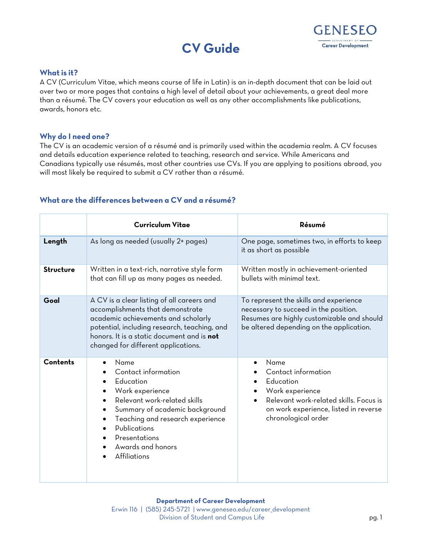



## **What is it?**

A CV (Curriculum Vitae, which means course of life in Latin) is an in-depth document that can be laid out over two or more pages that contains a high level of detail about your achievements, a great deal more than a résumé. The CV covers your education as well as any other accomplishments like publications, awards, honors etc.

## **Why do I need one?**

The CV is an academic version of a résumé and is primarily used within the academia realm. A CV focuses and details education experience related to teaching, research and service. While Americans and Canadians typically use résumés, most other countries use CVs. If you are applying to positions abroad, you will most likely be required to submit a CV rather than a résumé.

| What are the differences between a CV and a résumé? |  |  |  |  |  |  |
|-----------------------------------------------------|--|--|--|--|--|--|
|-----------------------------------------------------|--|--|--|--|--|--|

|                  | <b>Curriculum Vitae</b>                                                                                                                                                                                                                                    | Résumé                                                                                                                                                                    |  |  |
|------------------|------------------------------------------------------------------------------------------------------------------------------------------------------------------------------------------------------------------------------------------------------------|---------------------------------------------------------------------------------------------------------------------------------------------------------------------------|--|--|
| Length           | As long as needed (usually 2+ pages)                                                                                                                                                                                                                       | One page, sometimes two, in efforts to keep<br>it as short as possible                                                                                                    |  |  |
| <b>Structure</b> | Written in a text-rich, narrative style form<br>that can fill up as many pages as needed.                                                                                                                                                                  | Written mostly in achievement-oriented<br>bullets with minimal text.                                                                                                      |  |  |
| Goal             | A CV is a clear listing of all careers and<br>accomplishments that demonstrate<br>academic achievements and scholarly<br>potential, including research, teaching, and<br>honors. It is a static document and is not<br>changed for different applications. | To represent the skills and experience<br>necessary to succeed in the position.<br>Resumes are highly customizable and should<br>be altered depending on the application. |  |  |
| <b>Contents</b>  | Name<br>Contact information<br>Education<br>Work experience<br>Relevant work-related skills<br>Summary of academic background<br>$\bullet$<br>Teaching and research experience<br>Publications<br>Presentations<br>Awards and honors<br>Affiliations       | Name<br>Contact information<br>Education<br>Work experience<br>Relevant work-related skills. Focus is<br>on work experience, listed in reverse<br>chronological order     |  |  |

## **Department of Career Development**

Erwin 116 | (585) 245-5721 | [www.geneseo.edu/career\\_development](http://www.geneseo.edu/career_development) Division of Student and Campus Life pg. 1